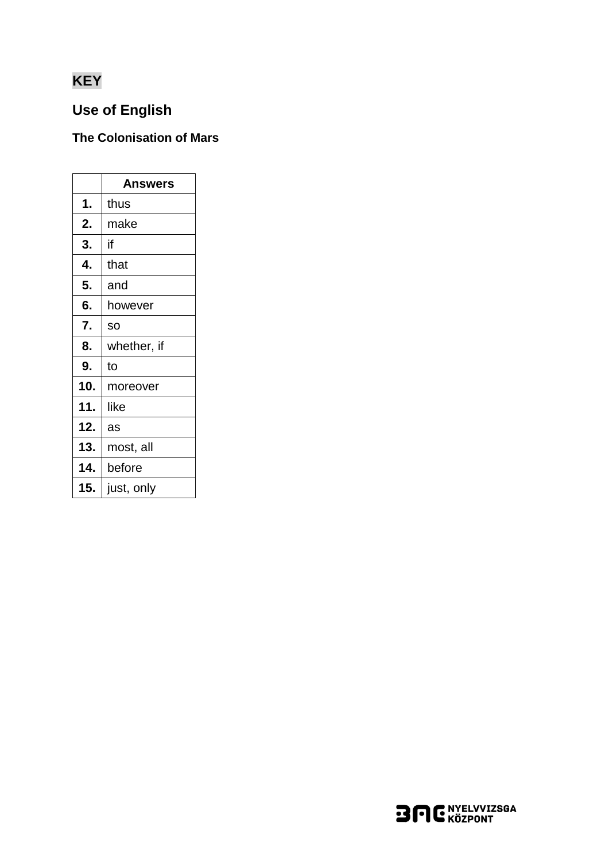# **KEY**

# **Use of English**

### The Colonisation of Mars

|     | Answers     |
|-----|-------------|
| 1.  | thus        |
| 2.  | make        |
| 3.  | if          |
| 4.  | that        |
| 5.  | and         |
| 6.  | however     |
| 7.  | SO          |
| 8.  | whether, if |
| 9.  | to          |
| 10. | moreover    |
| 11. | like        |
| 12. | as          |
| 13. | most, all   |
| 14. | before      |
| 15. | just, only  |